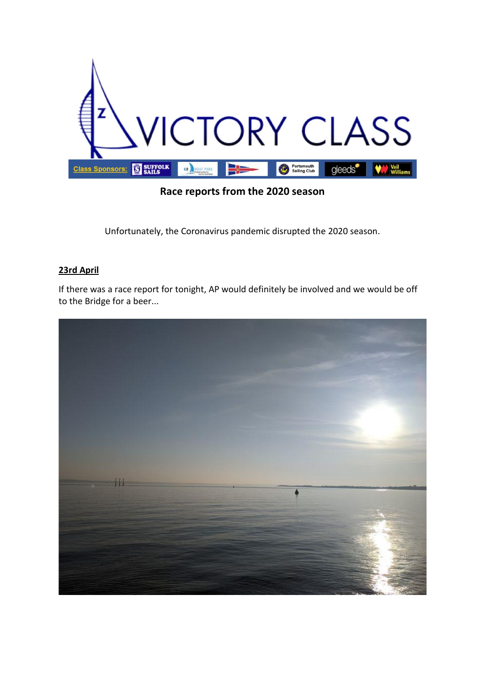

**Race reports from the 2020 season**

Unfortunately, the Coronavirus pandemic disrupted the 2020 season.

## **23rd April**

If there was a race report for tonight, AP would definitely be involved and we would be off to the Bridge for a beer...

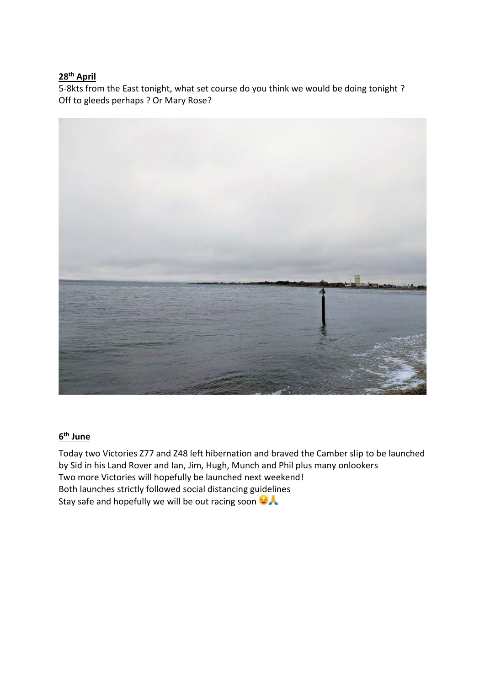### **28th April**

5-8kts from the East tonight, what set course do you think we would be doing tonight ? Off to gleeds perhaps ? Or Mary Rose?



#### **6 th June**

Today two Victories Z77 and Z48 left hibernation and braved the Camber slip to be launched by Sid in his Land Rover and Ian, Jim, Hugh, Munch and Phil plus many onlookers Two more Victories will hopefully be launched next weekend! Both launches strictly followed social distancing guidelines Stay safe and hopefully we will be out racing soon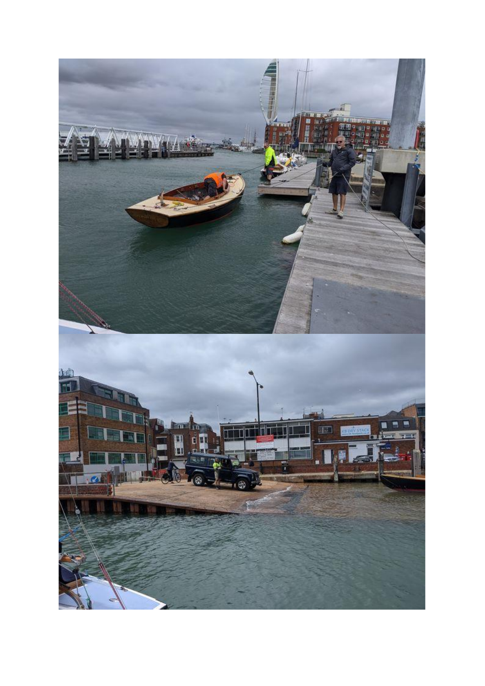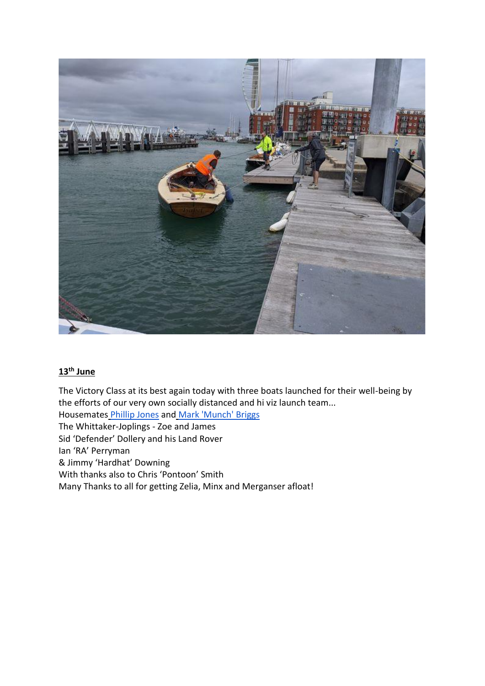

#### **13th June**

The Victory Class at its best again today with three boats launched for their well-being by the efforts of our very own socially distanced and hi viz launch team... Housemates [Phillip Jones](https://www.facebook.com/groups/537339716287540/user/514658664/?__cft__%5b0%5d=AZUMDET6jRTsvqMNHAMYWY4NMkSzz3PxzkqhC2yja0JKFRa4svyboiLWc-kaBDnXvaYY5Ctmo50iWAYwgRr3oU4mzmnTAhqREBmpHVQbc9ocQZXYyPaLjMISOnfMkBPCS_A71pakE2tAYstupKDO3yNeBH70HHUDpKME3g_5C8WyWNWIJLNZQNkZx79QPBBzZnA&__tn__=-%5dK-R) and [Mark 'Munch' Briggs](https://www.facebook.com/groups/537339716287540/user/808520535/?__cft__%5b0%5d=AZUMDET6jRTsvqMNHAMYWY4NMkSzz3PxzkqhC2yja0JKFRa4svyboiLWc-kaBDnXvaYY5Ctmo50iWAYwgRr3oU4mzmnTAhqREBmpHVQbc9ocQZXYyPaLjMISOnfMkBPCS_A71pakE2tAYstupKDO3yNeBH70HHUDpKME3g_5C8WyWNWIJLNZQNkZx79QPBBzZnA&__tn__=-%5dK-R) The Whittaker-Joplings - Zoe and James Sid 'Defender' Dollery and his Land Rover Ian 'RA' Perryman & Jimmy 'Hardhat' Downing With thanks also to Chris 'Pontoon' Smith Many Thanks to all for getting Zelia, Minx and Merganser afloat!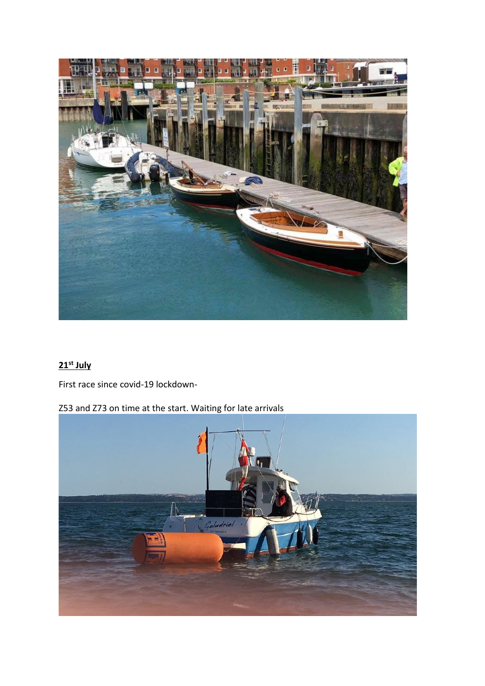

# $21<sup>st</sup>$  July

First race since covid-19 lockdown-

Z53 and Z73 on time at the start. Waiting for late arrivals